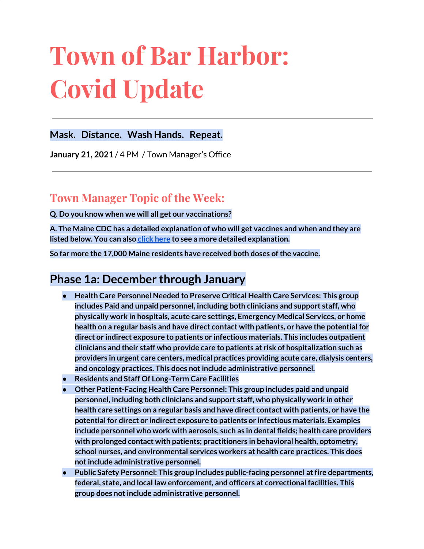# **Town of Bar Harbor: Covid Update**

## **Mask. Distance. Wash Hands. Repeat.**

**January 21, 2021** / 4 PM / Town Manager's Office

# **Town Manager Topic of the Week:**

**Q. Do you know when we will all get our vaccinations?**

**A. The Maine CDC has a detailed explanation of who will get vaccines and when and they are listed below. You can also [click](https://www.maine.gov/covid19/vaccines) here to see a more detailed explanation.**

**So far more the 17,000 Maine residents have received both doses ofthe vaccine.**

## **Phase 1a: December through January**

- **● Health Care Personnel Needed to Preserve Critical Health Care Services: This group includes Paid and unpaid personnel, including both clinicians and support staff, who physically work in hospitals, acute care settings, Emergency Medical Services, or home health on a regular basis and have direct contact with patients, or have the potential for direct or indirect exposure to patients or infectious materials. This includes outpatient clinicians and their staff who provide care to patients at risk of hospitalization such as providers in urgent care centers, medical practices providing acute care, dialysis centers, and oncology practices. This does notinclude administrative personnel.**
- **● Residents and Staff Of Long-Term Care Facilities**
- **● Other Patient-Facing Health Care Personnel: This group includes paid and unpaid personnel, including both clinicians and support staff, who physically work in other health care settings on a regular basis and have direct contact with patients, or have the potential for direct or indirect exposure to patients or infectious materials. Examples include personnel who work with aerosols, such as in dental fields; health care providers with prolonged contact with patients; practitioners in behavioral health, optometry, school nurses, and environmental services workers at health care practices. This does notinclude administrative personnel.**
- **● Public Safety Personnel: This group includes public-facing personnel atfire departments, federal, state, and local law enforcement, and officers at correctional facilities. This group does notinclude administrative personnel.**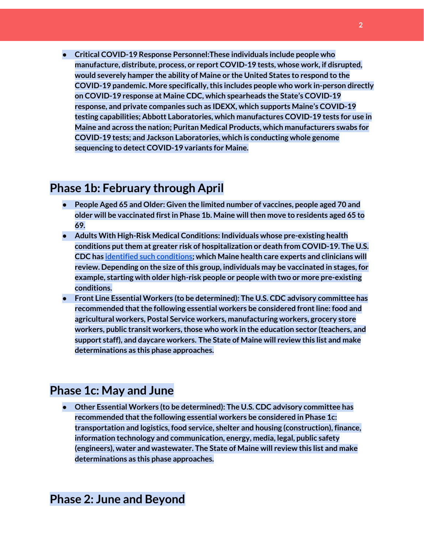**● Critical COVID-19 Response Personnel:These individuals include people who manufacture, distribute, process, or report COVID-19 tests, whose work, if disrupted, would severely hamper the ability of Maine or the United States to respond to the COVID-19 pandemic. More specifically,this includes people who work in-person directly on COVID-19 response at Maine CDC, which spearheads the State's COVID-19 response, and private companies such as IDEXX, which supports Maine's COVID-19 testing capabilities; Abbott Laboratories, which manufactures COVID-19 tests for use in Maine and across the nation; Puritan Medical Products, which manufacturers swabs for COVID-19 tests; and Jackson Laboratories, which is conducting whole genome sequencing to detect COVID-19 variants for Maine.**

## **Phase 1b: February through April**

- **● People Aged 65 and Older: Given the limited number of vaccines, people aged 70 and older will be vaccinated firstin Phase 1b. Maine willthen move to residents aged 65 to 69.**
- **● Adults With High-Risk Medical Conditions: Individuals whose pre-existing health conditions putthem at greater risk of hospitalization or death from COVID-19. The U.S. CDC has identified such [conditions;](https://www.cdc.gov/coronavirus/2019-ncov/need-extra-precautions/people-with-medical-conditions.html) which Maine health care experts and clinicians will review. Depending on the size ofthis group, individuals may be vaccinated in stages, for example, starting with older high-risk people or people with two or more pre-existing conditions.**
- **● Front Line Essential Workers (to be determined): The U.S. CDC advisory committee has recommended thatthe following essential workers be considered frontline: food and agricultural workers, Postal Service workers, manufacturing workers, grocery store workers, public transit workers,those who work in the education sector (teachers, and support staff), and daycare workers. The State of Maine will review this list and make determinations as this phase approaches.**

## **Phase 1c: May and June**

**● Other Essential Workers (to be determined): The U.S. CDC advisory committee has** *fecommended* that the following essential workers be considered in Phase 1c: **transportation and logistics, food service, shelter and housing (construction), finance, information technology and communication, energy, media, legal, public safety (engineers), water and wastewater. The State of Maine will review this list and make determinations as this phase approaches.**

## **Phase 2: June and Beyond**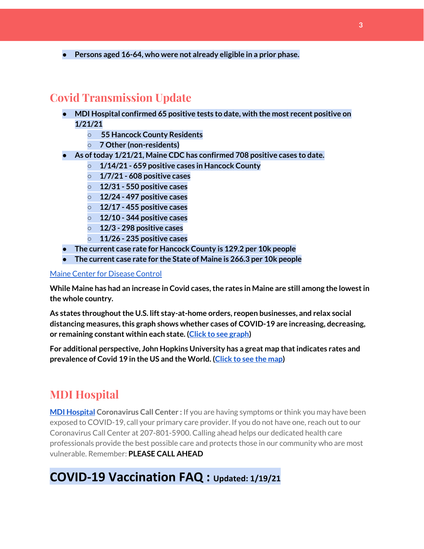**● Persons aged 16-64, who were not already eligible in a prior phase.**

# **Covid Transmission Update**

- **● MDI Hospital confirmed 65 positive tests to date, with the most recent positive on 1/21/21**
	- **○ 55 Hancock County Residents**
	- **○ 7 Other (non-residents)**
- **● As oftoday 1/21/21, Maine CDC has confirmed 708 positive cases to date.**
	- **○ 1/14/21 - 659 positive cases in Hancock County**
	- **○ 1/7/21 - 608 positive cases**
	- **○ 12/31 - 550 positive cases**
	- **○ 12/24 - 497 positive cases**
	- **○ 12/17 - 455 positive cases**
	- **○ 12/10 - 344 positive cases**
	- **○ 12/3 - 298 positive cases**
	- **○ 11/26 - 235 positive cases**
- **● The current case rate for Hancock County is 129.2 per 10k people**
- **● The current case rate for the State of Maine is 266.3 per 10k people**

#### Maine Center for [Disease](https://www.maine.gov/dhhs/mecdc/infectious-disease/epi/airborne/coronavirus.shtml) Control

**While Maine has had an increase in Covid cases,the rates in Maine are still among the lowestin the whole country.**

**As states throughoutthe U.S. lift stay-at-home orders, reopen businesses, and relax social distancing measures,this graph shows whether cases of COVID-19 are increasing, decreasing, or remaining constant within each state. (Click to see [graph\)](https://coronavirus.jhu.edu/data/new-cases-50-states)**

**For additional perspective, John Hopkins University has a great map thatindicates rates and prevalence of Covid 19 in the US and the World. [\(Click](https://coronavirus.jhu.edu/map.html) to see the map)**

## **MDI Hospital**

**MDI [Hospital](https://www.mdihospital.org/) Coronavirus Call Center :** If you are having symptoms or think you may have been exposed to COVID-19, call your primary care provider. If you do not have one, reach out to our Coronavirus Call Center at 207-801-5900. Calling ahead helps our dedicated health care professionals provide the best possible care and protects those in our community who are most vulnerable. Remember: **PLEASE CALL AHEAD**

# **COVID-19 Vaccination FAQ : Updated: 1/19/21**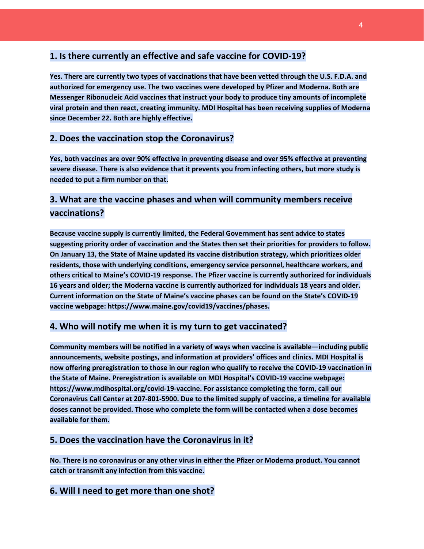### **1. Is there currently an effective and safe vaccine for COVID-19?**

**Yes. There are currently two types of vaccinations that have been vetted through the U.S. F.D.A. and authorized for emergency use. The two vaccines were developed by Pfizer and Moderna. Both are Messenger Ribonucleic Acid vaccines that instruct your body to produce tiny amounts of incomplete viral protein and then react, creating immunity. MDI Hospital has been receiving supplies of Moderna since December 22. Both are highly effective.**

#### **2. Does the vaccination stop the Coronavirus?**

**Yes, both vaccines are over 90% effective in preventing disease and over 95% effective at preventing severe disease. There is also evidence that it prevents you from infecting others, but more study is needed to put a firm number on that.**

## **3. What are the vaccine phases and when will community members receive vaccinations?**

**Because vaccine supply is currently limited, the Federal Government has sent advice to states suggesting priority order of vaccination and the States then set their priorities for providers to follow. On January 13, the State of Maine updated its vaccine distribution strategy, which prioritizes older residents, those with underlying conditions, emergency service personnel, healthcare workers, and others critical to Maine's COVID-19 response. The Pfizer vaccine is currently authorized for individuals 16 years and older; the Moderna vaccine is currently authorized for individuals 18 years and older. Current information on the State of Maine's vaccine phases can be found on the State's COVID-19 vaccine webpage: https://www.maine.gov/covid19/vaccines/phases.**

#### **4. Who will notify me when it is my turn to get vaccinated?**

**Community members will be notified in a variety of ways when vaccine is available—including public announcements, website postings, and information at providers' offices and clinics. MDI Hospital is now offering preregistration to those in our region who qualify to receive the COVID-19 vaccination in the State of Maine. Preregistration is available on MDI Hospital's COVID-19 vaccine webpage: https://www.mdihospital.org/covid-19-vaccine. For assistance completing the form, call our Coronavirus Call Center at 207-801-5900. Due to the limited supply of vaccine, a timeline for available doses cannot be provided. Those who complete the form will be contacted when a dose becomes available for them.**

#### **5. Does the vaccination have the Coronavirus in it?**

**No. There is no coronavirus or any other virus in either the Pfizer or Moderna product. You cannot catch or transmit any infection from this vaccine.**

#### **6. Will I need to get more than one shot?**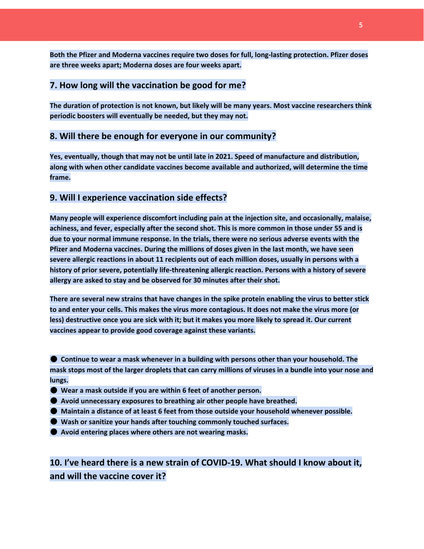**Both the Pfizer and Moderna vaccines require two doses for full, long-lasting protection. Pfizer doses are three weeks apart; Moderna doses are four weeks apart.**

#### **7. How long will the vaccination be good for me?**

**The duration of protection is not known, but likely will be many years. Most vaccine researchers think periodic boosters will eventually be needed, but they may not.**

#### **8. Will there be enough for everyone in our community?**

**Yes, eventually, though that may not be until late in 2021. Speed of manufacture and distribution, along with when other candidate vaccines become available and authorized, will determine the time frame.**

#### **9. Will I experience vaccination side effects?**

**Many people will experience discomfort including pain at the injection site, and occasionally, malaise,** achiness, and fever, especially after the second shot. This is more common in those under 55 and is **due to your normal immune response. In the trials, there were no serious adverse events with the Pfizer and Moderna vaccines. During the millions of doses given in the last month, we have seen severe allergic reactions in about 11 recipients out of each million doses, usually in persons with a history of prior severe, potentially life-threatening allergic reaction. Persons with a history of severe allergy are asked to stay and be observed for 30 minutes after their shot.**

There are several new strains that have changes in the spike protein enabling the virus to better stick to and enter your cells. This makes the virus more contagious. It does not make the virus more (or less) destructive once you are sick with it; but it makes you more likely to spread it. Our current **vaccines appear to provide good coverage against these variants.**

● **Continue to wear a mask whenever in a building with persons other than your household. The** mask stops most of the larger droplets that can carry millions of viruses in a bundle into your nose and **lungs.**

- **Wear a mask outside if you are within 6 feet of another person.**
- **Avoid unnecessary exposures to breathing air other people have breathed.**
- **Maintain a distance of at least 6 feet from those outside your household whenever possible.**
- **Wash or sanitize your hands after touching commonly touched surfaces.**
- **Avoid entering places where others are not wearing masks.**

**10. I've heard there is a new strain of COVID-19. What should I know about it, and will the vaccine cover it?**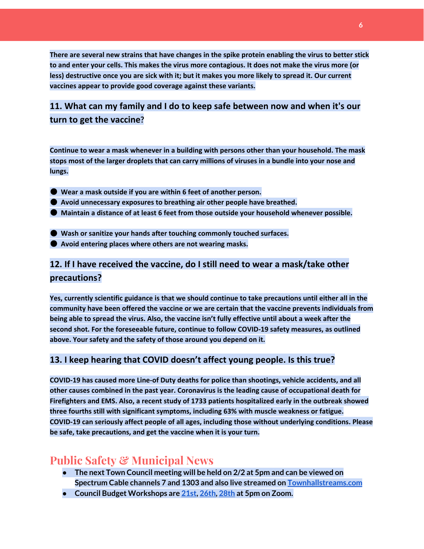There are several new strains that have changes in the spike protein enabling the virus to better stick to and enter your cells. This makes the virus more contagious. It does not make the virus more (or less) destructive once you are sick with it; but it makes you more likely to spread it. Our current **vaccines appear to provide good coverage against these variants.**

## **11. What can my family and I do to keep safe between now and when it's our turn to get the vaccine?**

**Continue to wear a mask whenever in a building with persons other than your household. The mask** stops most of the larger droplets that can carry millions of viruses in a bundle into your nose and **lungs.**

- **Wear a mask outside if you are within 6 feet of another person.**
- **Avoid unnecessary exposures to breathing air other people have breathed.**
- **Maintain a distance of at least 6 feet from those outside your household whenever possible.**
- **Wash or sanitize your hands after touching commonly touched surfaces.**
- **Avoid entering places where others are not wearing masks.**

## **12. If I have received the vaccine, do I still need to wear a mask/take other precautions?**

**Yes, currently scientific guidance is that we should continue to take precautions until either all in the community have been offered the vaccine or we are certain that the vaccine prevents individuals from** being able to spread the virus. Also, the vaccine isn't fully effective until about a week after the **second shot. For the foreseeable future, continue to follow COVID-19 safety measures, as outlined above. Your safety and the safety of those around you depend on it.**

#### **13. I keep hearing that COVID doesn't affect young people. Is this true?**

**COVID-19 has caused more Line-of Duty deaths for police than shootings, vehicle accidents, and all other causes combined in the past year. Coronavirus is the leading cause of occupational death for Firefighters and EMS. Also, a recent study of 1733 patients hospitalized early in the outbreak showed three fourths still with significant symptoms, including 63% with muscle weakness or fatigue. COVID-19 can seriously affect people of all ages, including those without underlying conditions. Please be safe, take precautions, and get the vaccine when it is your turn.**

## **Public Safety & Municipal News**

- **● The next Town Council meeting will be held on 2/2 at 5pm and can be viewed on Spectrum Cable channels 7 and 1303 and also live streamed on [Townhallstreams.com](https://townhallstreams.com/)**
- **● Council Budget Workshops are [21st,](http://www.barharbormaine.gov/Calendar.aspx?EID=3453&month=1&year=2021&day=21&calType=0) [26th,](http://www.barharbormaine.gov/Calendar.aspx?EID=3454&month=1&year=2021&day=26&calType=0) [28th](http://www.barharbormaine.gov/Calendar.aspx?EID=3455&month=1&year=2021&day=28&calType=0) at 5pm on Zoom.**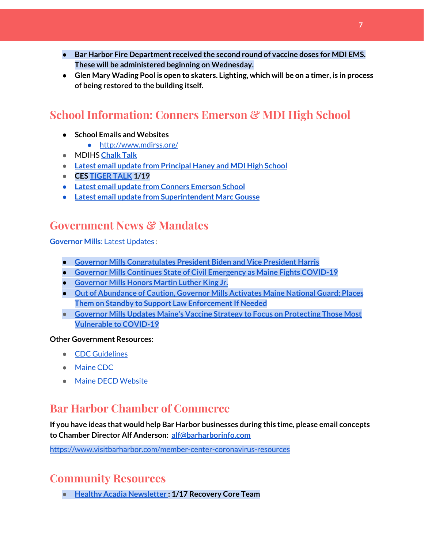- **● Bar Harbor Fire Department received the second round of vaccine doses for MDI EMS. These will be administered beginning on Wednesday.**
- Glen Mary Wading Pool is open to skaters. Lighting, which will be on a timer, is in process **of being restored to the building itself.**

# **School Information: Conners Emerson & MDI High School**

- **● School Emails and Websites**
	- <http://www.mdirss.org/>
- MDIHS **[Chalk](https://docs.google.com/document/d/17tktfFtBoOMlE57r_TzvAhJLaTMaz0A2PcPxsZHhPkw/edit) Talk**
- **● Latest email update from [Principal](https://docs.google.com/document/d/1OKDsYNtOgV0FI9xAcXwQvenOKLV0S2vBg1o5jtu5CrE/edit?usp=sharing) Haney and MDI High School**
- **● CES [TIGER](http://track.spe.schoolmessenger.com/f/a/_HLuHvGS6Gpu17KeoMTRtA~~/AAAAAQA~/RgRhkvexP0RQaHR0cHM6Ly9zaXRlcy5nb29nbGUuY29tL21kaXJzcy5vcmcvY29ubmVycy1lbWVyc29uLXNjaG9vbC9uZXdzbGV0dGVyP2F1dGh1c2VyPTBXB3NjaG9vbG1CCgBHMcSxXy1eDqxSGGJhcmhhcmJvcmpld2VsQGdtYWlsLmNvbVgEAAAAAQ~~) TALK 1/19**
- **● Latest email update from Conners [Emerson](https://docs.google.com/document/d/1v3pgkG6Q-9S3gisuUIj4etPVDwgBKl4P00JBkvZr-kk/edit?usp=sharing) School**
- **● Latest email update from [Superintendent](https://docs.google.com/document/d/1fzeCbc8gpTSKmUaDoQH1Avx5PVl-h0reFphXrT1eUNA/edit?usp=sharing) Marc Gousse**

# **Government News & Mandates**

**[Governor](https://www.maine.gov/governor/mills/) Mills**: Latest [Updates](https://www.maine.gov/governor/mills/) :

- **● Governor Mills [Congratulates](https://www.maine.gov/governor/mills/news/governor-mills-congratulates-president-biden-and-vice-president-harris-2021-01-20) President Biden and Vice President Harris**
- **● Governor Mills Continues State of Civil [Emergency](https://www.maine.gov/governor/mills/news/governor-mills-continues-state-civil-emergency-maine-fights-covid-19-2021-01-19) as Maine Fights COVID-19**
- **● [Governor](https://www.maine.gov/governor/mills/news/governor-mills-honors-martin-luther-king-jr-2021-01-18) Mills Honors Martin Luther King Jr.**
- **● Out of [Abundance](https://www.maine.gov/governor/mills/news/out-abundance-caution-governor-mills-activates-maine-national-guard-places-them-standby) of Caution, Governor Mills Activates Maine National Guard; Places Them** on Standby to Support Law Enforcement If Needed
- **● Governor Mills Updates Maine's Vaccine Strategy to Focus on [Protecting](https://www.maine.gov/governor/mills/news/governor-mills-updates-maines-vaccine-strategy-focus-protecting-those-most-vulnerable-covid-19) Those Most [Vulnerable](https://www.maine.gov/governor/mills/news/governor-mills-updates-maines-vaccine-strategy-focus-protecting-those-most-vulnerable-covid-19) to COVID-19**

#### **Other Government Resources:**

- CDC [Guidelines](https://www.cdc.gov/coronavirus/2019-nCoV/index.html)
- [Maine](https://www.maine.gov/dhhs/mecdc/infectious-disease/epi/airborne/coronavirus.shtml#news) CDC
- Maine DECD [Website](https://email.visitmaine.com/t/l?ssid=25666&subscriber_id=burlbijpngaljjcvwmsljvvhiypjbdl&delivery_id=bxalwnoqaktgaukzwdydhstibcwgbib&td=TW9Xt0QhwxDEy8mN1YQwZAiZwEhk47aRpO4X2vwcu4-OQImFEQ25_yLeqsd2bbazo-7LV2NGsCDmuPP5zzCFoIT95pwnD1d6bYYXYC49sxoW1kdV5enK8meq-yEJvIBG2lTYl0fSlRnyUxgz5neQRjx_VtK3peW-YYCG3Cqvs4t5QWc7m_c1wElVJNGp-V66U9-eG7U9fE-D3ZE7wwtwMzl6xqRrJRGWPC8ZB13Q1h-AiDHfyhF8vWvtg08ijsro6Uk4FRk10Q17I)

# **Bar Harbor Chamber of Commerce**

**If you have ideas that would help Bar Harbor businesses during this time, please email concepts to Chamber Director Alf Anderson: [alf@barharborinfo.com](mailto:alf@barharborinfo.com)**

<https://www.visitbarharbor.com/member-center-coronavirus-resources>

# **Community Resources**

**● Healthy Acadia [Newsletter](https://us1.campaign-archive.com/?u=5b51920468536c4cec34ab3ca&id=bfb7adbeb7) : 1/17 Recovery Core Team**